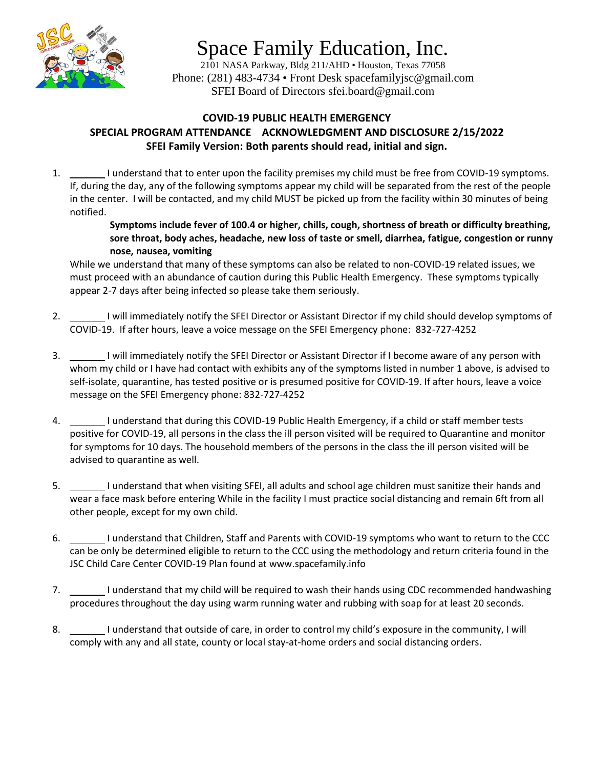

## Space Family Education, Inc.

2101 NASA Parkway, Bldg 211/AHD • Houston, Texas 77058 Phone: (281) 483-4734 • Front Desk spacefamilyjsc@gmail.com SFEI Board of Directors sfei.board@gmail.com

## **COVID-19 PUBLIC HEALTH EMERGENCY SPECIAL PROGRAM ATTENDANCE ACKNOWLEDGMENT AND DISCLOSURE 2/15/2022 SFEI Family Version: Both parents should read, initial and sign.**

1. I understand that to enter upon the facility premises my child must be free from COVID-19 symptoms. If, during the day, any of the following symptoms appear my child will be separated from the rest of the people in the center. I will be contacted, and my child MUST be picked up from the facility within 30 minutes of being notified.

> **Symptoms include fever of 100.4 or higher, chills, cough, shortness of breath or difficulty breathing, sore throat, body aches, headache, new loss of taste or smell, diarrhea, fatigue, congestion or runny nose, nausea, vomiting**

While we understand that many of these symptoms can also be related to non-COVID-19 related issues, we must proceed with an abundance of caution during this Public Health Emergency. These symptoms typically appear 2-7 days after being infected so please take them seriously.

- 2. I will immediately notify the SFEI Director or Assistant Director if my child should develop symptoms of COVID-19. If after hours, leave a voice message on the SFEI Emergency phone: 832-727-4252
- 3. I will immediately notify the SFEI Director or Assistant Director if I become aware of any person with whom my child or I have had contact with exhibits any of the symptoms listed in number 1 above, is advised to self-isolate, quarantine, has tested positive or is presumed positive for COVID-19. If after hours, leave a voice message on the SFEI Emergency phone: 832-727-4252
- 4. I understand that during this COVID-19 Public Health Emergency, if a child or staff member tests positive for COVID-19, all persons in the class the ill person visited will be required to Quarantine and monitor for symptoms for 10 days. The household members of the persons in the class the ill person visited will be advised to quarantine as well.
- 5. I understand that when visiting SFEI, all adults and school age children must sanitize their hands and wear a face mask before entering While in the facility I must practice social distancing and remain 6ft from all other people, except for my own child.
- 6. I understand that Children, Staff and Parents with COVID-19 symptoms who want to return to the CCC can be only be determined eligible to return to the CCC using the methodology and return criteria found in the JSC Child Care Center COVID-19 Plan found at www.spacefamily.info
- 7. I understand that my child will be required to wash their hands using CDC recommended handwashing procedures throughout the day using warm running water and rubbing with soap for at least 20 seconds.
- 8. I understand that outside of care, in order to control my child's exposure in the community, I will comply with any and all state, county or local stay-at-home orders and social distancing orders.